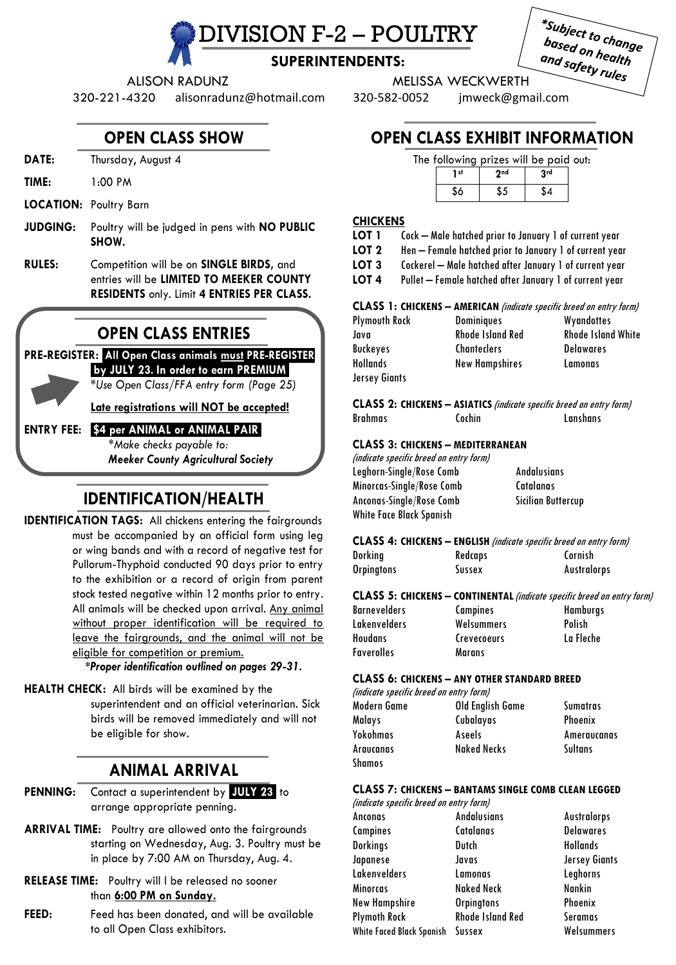IVISION F-2 – POULTRY

| *Subject to change |  |
|--------------------|--|
| based on health    |  |
| and safety rules   |  |
|                    |  |

## **SUPERINTENDENTS:**

ALISON RADUNZ MELISSA WECKWERTH

320-221-4320 alisonradunz@hotmail.com 320-582-0052 jmweck@gmail.com

## **OPEN CLASS SHOW**

- **DATE:** Thursday, August 4
- **TIME:** 1:00 PM
- **LOCATION:** Poultry Barn
- **JUDGING:** Poultry will be judged in pens with **NO PUBLIC SHOW.**
- **RULES:** Competition will be on **SINGLE BIRDS,** and entries will be **LIMITED TO MEEKER COUNTY RESIDENTS** only. Limit **4 ENTRIES PER CLASS.**

## **OPEN CLASS ENTRIES**

#### **PRE-REGISTER:** .**All Open Class animals must PRE-REGISTER .by JULY 23***.* **In order to earn PREMIUM.**

*\*Use Open Class/FFA entry form (Page 25)*

**Late registrations will NOT be accepted!**

#### **ENTRY FEE:** !**\$4 per ANIMAL or ANIMAL PAIR!** *\*Make checks payable to:*

*Meeker County Agricultural Society*

## **IDENTIFICATION/HEALTH**

**IDENTIFICATION TAGS:** All chickens entering the fairgrounds must be accompanied by an official form using leg or wing bands and with a record of negative test for Pullorum-Thyphoid conducted 90 days prior to entry to the exhibition or a record of origin from parent stock tested negative within 12 months prior to entry. All animals will be checked upon arrival. Any animal without proper identification will be required to leave the fairgrounds, and the animal will not be eligible for competition or premium.

 *\*Proper identification outlined on pages 29-31.*

**HEALTH CHECK:** All birds will be examined by the superintendent and an official veterinarian. Sick birds will be removed immediately and will not be eligible for show.

# **ANIMAL ARRIVAL**

- **PENNING:** Contact a superintendent by *.***JULY 23.** to arrange appropriate penning.
- **ARRIVAL TIME:** Poultry are allowed onto the fairgrounds starting on Wednesday, Aug. 3. Poultry must be in place by 7:00 AM on Thursday, Aug. 4.
- **RELEASE TIME:** Poultry will l be released no sooner than **6:00 PM on Sunday.**
- **FEED:** Feed has been donated, and will be available to all Open Class exhibitors.

# **OPEN CLASS EXHIBIT INFORMATION**

|      | The following prizes will be paid out: |     |  |
|------|----------------------------------------|-----|--|
| 1 st | 2nd                                    | 2rd |  |
|      |                                        |     |  |

#### **CHICKENS**

- **LOT 1** Cock Male hatched prior to January 1 of current year
- **LOT 2** Hen Female hatched prior to January 1 of current year
- **LOT 3** Cockerel Male hatched after January 1 of current year
- **LOT 4** Pullet Female hatched after January 1 of current year

#### **CLASS 1: CHICKENS – AMERICAN** (indicate specific breed on entry form)

| <b>Plymouth Rock</b> | <b>Dominiques</b>     | Wyandottes                |
|----------------------|-----------------------|---------------------------|
| Java                 | Rhode Island Red      | <b>Rhode Island White</b> |
| Buckeyes             | <b>Chanteclers</b>    | <b>Delawares</b>          |
| <b>Hollands</b>      | <b>New Hampshires</b> | Lamonas                   |
| Jersey Giants        |                       |                           |

**CLASS 2: CHICKENS – ASIATICS** (indicate specific breed on entry form) Brahmas Cochin Lanshans

#### **CLASS 3: CHICKENS – MEDITERRANEAN**

| (indicate specific breed on entry form) |                    |
|-----------------------------------------|--------------------|
| Leghorn-Single/Rose Comb                | <b>Andalusians</b> |
| Minorcas-Single/Rose Comb               | Catalanas          |
| Anconas-Single/Rose Comb                | Sicilian Buttercup |
| <b>White Face Black Spanish</b>         |                    |

| <b>CLASS 4: CHICKENS - ENGLISH</b> <i>(indicate specific breed on entry form)</i> |                |                    |  |
|-----------------------------------------------------------------------------------|----------------|--------------------|--|
| Dorkina                                                                           | <b>Redcaps</b> | Cornish            |  |
| <b>Orpingtons</b>                                                                 | Sussex         | <b>Australorps</b> |  |

#### **CLASS 5: CHICKENS – CONTINENTAL**(indicate specific breed on entry form)

| Barnevelders |  |
|--------------|--|
| Lakenvelders |  |
| Houdans      |  |
| Faverolles   |  |

**Campines** Welsummers Crevecoeurs **Marans** 

| ecitic dreed on e |  |
|-------------------|--|
| Hamburgs          |  |
| Polish            |  |
| La Fleche         |  |
|                   |  |

#### **CLASS 6: CHICKENS – ANY OTHER STANDARD BREED**

(indicate specific breed on entry form) Modern Game Old English Game Sumatras Malays Cubalayas Phoenix Yokohmas Aseels Ameraucanas Araucanas Naked Necks Sultans Shamos

#### **CLASS 7: CHICKENS – BANTAMS SINGLE COMB CLEAN LEGGED**

| (indicate specific breed on entry form) |                      |
|-----------------------------------------|----------------------|
| <b>Andalusians</b>                      | <b>Australorps</b>   |
| Catalanas                               | <b>Delawares</b>     |
| Dutch                                   | <b>Hollands</b>      |
| Javas                                   | <b>Jersey Giants</b> |
| Lamonas                                 | Leghorns             |
| <b>Naked Neck</b>                       | <b>Nankin</b>        |
| <b>Orpingtons</b>                       | Phoenix              |
| <b>Rhode Island Red</b>                 | Seramas              |
| White Faced Black Spanish<br>Sussex     | Welsummers           |
|                                         |                      |